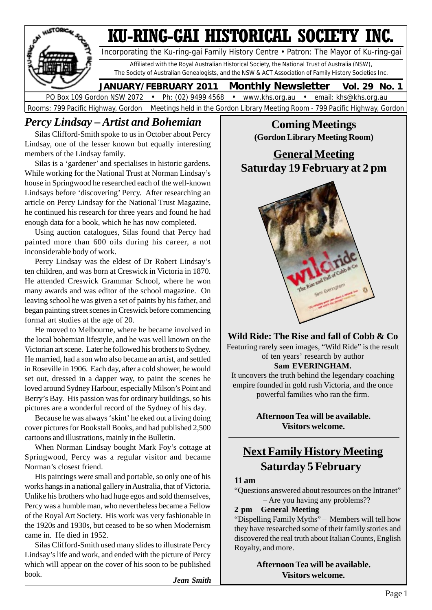

### *Percy Lindsay – Artist and Bohemian*

Silas Clifford-Smith spoke to us in October about Percy Lindsay, one of the lesser known but equally interesting members of the Lindsay family.

Silas is a 'gardener' and specialises in historic gardens. While working for the National Trust at Norman Lindsay's house in Springwood he researched each of the well-known Lindsays before 'discovering' Percy. After researching an article on Percy Lindsay for the National Trust Magazine, he continued his research for three years and found he had enough data for a book, which he has now completed.

Using auction catalogues, Silas found that Percy had painted more than 600 oils during his career, a not inconsiderable body of work.

Percy Lindsay was the eldest of Dr Robert Lindsay's ten children, and was born at Creswick in Victoria in 1870. He attended Creswick Grammar School, where he won many awards and was editor of the school magazine. On leaving school he was given a set of paints by his father, and began painting street scenes in Creswick before commencing formal art studies at the age of 20.

He moved to Melbourne, where he became involved in the local bohemian lifestyle, and he was well known on the Victorian art scene. Later he followed his brothers to Sydney. He married, had a son who also became an artist, and settled in Roseville in 1906. Each day, after a cold shower, he would set out, dressed in a dapper way, to paint the scenes he loved around Sydney Harbour, especially Milson's Point and Berry's Bay. His passion was for ordinary buildings, so his pictures are a wonderful record of the Sydney of his day.

Because he was always 'skint' he eked out a living doing cover pictures for Bookstall Books, and had published 2,500 cartoons and illustrations, mainly in the Bulletin.

When Norman Lindsay bought Mark Foy's cottage at Springwood, Percy was a regular visitor and became Norman's closest friend.

His paintings were small and portable, so only one of his works hangs in a national gallery in Australia, that of Victoria. Unlike his brothers who had huge egos and sold themselves, Percy was a humble man, who nevertheless became a Fellow of the Royal Art Society. His work was very fashionable in the 1920s and 1930s, but ceased to be so when Modernism came in. He died in 1952.

Silas Clifford-Smith used many slides to illustrate Percy Lindsay's life and work, and ended with the picture of Percy which will appear on the cover of his soon to be published book.

 *Jean Smith*

### **Coming Meetings (Gordon Library Meeting Room)**

### **General Meeting Saturday 19 February at 2 pm**



**Wild Ride: The Rise and fall of Cobb & Co** Featuring rarely seen images, "Wild Ride" is the result of ten years' research by author **Sam EVERINGHAM.**

It uncovers the truth behind the legendary coaching empire founded in gold rush Victoria, and the once powerful families who ran the firm.

> **Afternoon Tea will be available. Visitors welcome.**

## **Next Family History Meeting Saturday 5 February**

### **11 am**

"Questions answered about resources on the Intranet" – Are you having any problems??

#### **2 pm General Meeting**

"Dispelling Family Myths" – Members will tell how they have researched some of their family stories and discovered the real truth about Italian Counts, English Royalty, and more.

> **Afternoon Tea will be available. Visitors welcome.**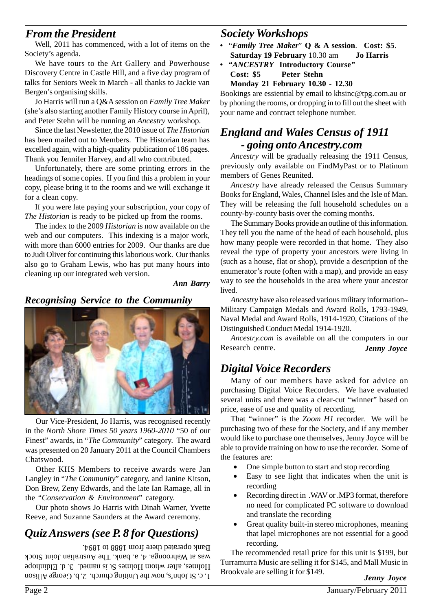### *From the President*

Well, 2011 has commenced, with a lot of items on the Society's agenda.

We have tours to the Art Gallery and Powerhouse Discovery Centre in Castle Hill, and a five day program of talks for Seniors Week in March - all thanks to Jackie van Bergen's organising skills.

Jo Harris will run a Q&A session on *Family Tree Maker* (she's also starting another Family History course in April), and Peter Stehn will be running an *Ancestry* workshop.

Since the last Newsletter, the 2010 issue of *The Historian* has been mailed out to Members. The Historian team has excelled again, with a high-quality publication of 186 pages. Thank you Jennifer Harvey, and all who contributed.

Unfortunately, there are some printing errors in the headings of some copies. If you find this a problem in your copy, please bring it to the rooms and we will exchange it for a clean copy.

If you were late paying your subscription, your copy of *The Historian* is ready to be picked up from the rooms.

The index to the 2009 *Historian* is now available on the web and our computers. This indexing is a major work, with more than 6000 entries for 2009. Our thanks are due to Judi Oliver for continuing this laborious work. Our thanks also go to Graham Lewis, who has put many hours into cleaning up our integrated web version.

*Ann Barry*

#### *Recognising Service to the Community*



Our Vice-President, Jo Harris, was recognised recently in the *North Shore Times 50 years 1960-2010* "50 of our Finest" awards, in "*The Community*" category. The award was presented on 20 January 2011 at the Council Chambers Chatswood.

Other KHS Members to receive awards were Jan Langley in "*The Community*" category, and Janine Kitson, Don Brew, Zeny Edwards, and the late Ian Ramage, all in the "*Conservation & Environment*" category.

Our photo shows Jo Harris with Dinah Warner, Yvette Reeve, and Suzanne Saunders at the Award ceremony.

### *Quiz Answers (see P. 8 for Questions)*

 $1. c$ . St John's, now the Uniting church. 2. b. George Allison Holmes, after whom Holmes St is named. 3. d. Eldinhope was at Wahroonga. 4. a. bank. The Australian Joint Stock Bank operated there from 1888 to 1894.

### *Society Workshops*

- "*Family Tree Maker*" **Q & A session**. **Cost: \$5**. **Saturday 19 February** 10.30 am **Jo Harris**
- *"ANCESTRY* **Introductory Course***"* **Cost: \$5 Peter Stehn**

**Monday 21 February 10.30 - 12.30**

Bookings are essiential by email to khsinc@tpg.com.au or by phoning the rooms, or dropping in to fill out the sheet with your name and contract telephone number.

### *England and Wales Census of 1911 - going onto Ancestry.com*

*Ancestry* will be gradually releasing the 1911 Census, previously only available on FindMyPast or to Platinum members of Genes Reunited.

*Ancestry* have already released the Census Summary Books for England, Wales, Channel Isles and the Isle of Man. They will be releasing the full household schedules on a county-by-county basis over the coming months.

The Summary Books provide an outline of this information. They tell you the name of the head of each household, plus how many people were recorded in that home. They also reveal the type of property your ancestors were living in (such as a house, flat or shop), provide a description of the enumerator's route (often with a map), and provide an easy way to see the households in the area where your ancestor lived.

*Ancestry* have also released various military information– Military Campaign Medals and Award Rolls, 1793-1949, Naval Medal and Award Rolls, 1914-1920, Citations of the Distinguished Conduct Medal 1914-1920.

*Ancestry.com* is available on all the computers in our Research centre. *Jenny Joyce*

### *Digital Voice Recorders*

Many of our members have asked for advice on purchasing Digital Voice Recorders. We have evaluated several units and there was a clear-cut "winner" based on price, ease of use and quality of recording.

That "winner" is the *Zoom H1* recorder. We will be purchasing two of these for the Society, and if any member would like to purchase one themselves, Jenny Joyce will be able to provide training on how to use the recorder. Some of the features are:

- One simple button to start and stop recording
- Easy to see light that indicates when the unit is recording
- Recording direct in .WAV or .MP3 format, therefore no need for complicated PC software to download and translate the recording
- Great quality built-in stereo microphones, meaning that lapel microphones are not essential for a good recording.

The recommended retail price for this unit is \$199, but Turramurra Music are selling it for \$145, and Mall Music in Brookvale are selling it for \$149.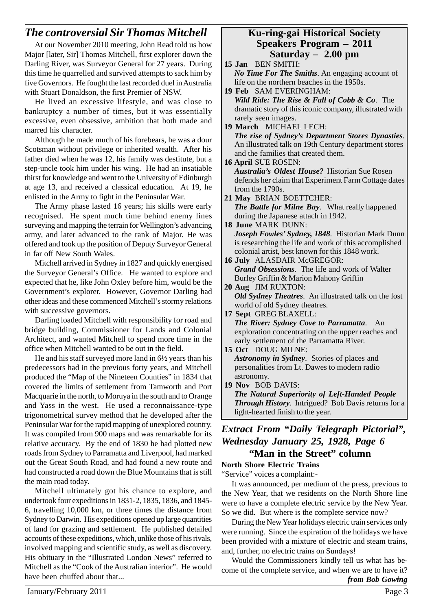### *The controversial Sir Thomas Mitchell*

At our November 2010 meeting, John Read told us how Major [later, Sir] Thomas Mitchell, first explorer down the Darling River, was Surveyor General for 27 years. During this time he quarrelled and survived attempts to sack him by five Governors. He fought the last recorded duel in Australia with Stuart Donaldson, the first Premier of NSW.

He lived an excessive lifestyle, and was close to bankruptcy a number of times, but it was essentially excessive, even obsessive, ambition that both made and marred his character.

Although he made much of his forebears, he was a dour Scotsman without privilege or inherited wealth. After his father died when he was 12, his family was destitute, but a step-uncle took him under his wing. He had an insatiable thirst for knowledge and went to the University of Edinburgh at age 13, and received a classical education. At 19, he enlisted in the Army to fight in the Peninsular War.

The Army phase lasted 16 years; his skills were early recognised. He spent much time behind enemy lines surveying and mapping the terrain for Wellington's advancing army, and later advanced to the rank of Major. He was offered and took up the position of Deputy Surveyor General in far off New South Wales.

Mitchell arrived in Sydney in 1827 and quickly energised the Surveyor General's Office. He wanted to explore and expected that he, like John Oxley before him, would be the Government's explorer. However, Governor Darling had other ideas and these commenced Mitchell's stormy relations with successive governors.

Darling loaded Mitchell with responsibility for road and bridge building, Commissioner for Lands and Colonial Architect, and wanted Mitchell to spend more time in the office when Mitchell wanted to be out in the field.

He and his staff surveyed more land in 6½ years than his predecessors had in the previous forty years, and Mitchell produced the "Map of the Nineteen Counties" in 1834 that covered the limits of settlement from Tamworth and Port Macquarie in the north, to Moruya in the south and to Orange and Yass in the west. He used a reconnaissance-type trigonometrical survey method that he developed after the Peninsular War for the rapid mapping of unexplored country. It was compiled from 900 maps and was remarkable for its relative accuracy. By the end of 1830 he had plotted new roads from Sydney to Parramatta and Liverpool, had marked out the Great South Road, and had found a new route and had constructed a road down the Blue Mountains that is still the main road today.

Mitchell ultimately got his chance to explore, and undertook four expeditions in 1831-2, 1835, 1836, and 1845- 6, travelling 10,000 km, or three times the distance from Sydney to Darwin. His expeditions opened up large quantities of land for grazing and settlement. He published detailed accounts of these expeditions, which, unlike those of his rivals, involved mapping and scientific study, as well as discovery. His obituary in the "Illustrated London News" referred to Mitchell as the "Cook of the Australian interior". He would have been chuffed about that...

#### **Ku-ring-gai Historical Society Speakers Program – 2011 Saturday – 2.00 pm**

**15 Jan** BEN SMITH: *No Time For The Smiths*. An engaging account of life on the northern beaches in the 1950s. **19 Feb** SAM EVERINGHAM: *Wild Ride: The Rise & Fall of Cobb & Co*. The dramatic story of this iconic company, illustrated with rarely seen images. **19 March** MICHAEL LECH: *The rise of Sydney's Department Stores Dynasties*. An illustrated talk on 19th Century department stores and the families that created them. **16 April** SUE ROSEN: *Australia's Oldest House?* Historian Sue Rosen defends her claim that Experiment Farm Cottage dates from the 1790s. **21 May** BRIAN BOETTCHER: *The Battle for Milne Bay*. What really happened during the Japanese attach in 1942. **18 June** MARK DUNN: *Joseph Fowles' Sydney, 1848*. Historian Mark Dunn is researching the life and work of this accomplished colonial artist, best known for this 1848 work. **16 July** ALASDAIR McGREGOR: *Grand Obsessions*. The life and work of Walter Burley Griffin & Marion Mahony Griffin **20 Aug** JIM RUXTON: *Old Sydney Theatres*. An illustrated talk on the lost world of old Sydney theatres. **17 Sept** GREG BLAXELL: *The River: Sydney Cove to Parramatta*. An exploration concentrating on the upper reaches and early settlement of the Parramatta River. **15 Oct** DOUG MILNE: *Astronomy in Sydney*. Stories of places and personalities from Lt. Dawes to modern radio astronomy. **19 Nov** BOB DAVIS: *The Natural Superiority of Left-Handed People Through History*. Intrigued? Bob Davis returns for a light-hearted finish to the year. *Extract From "Daily Telegraph Pictorial", Wednesday January 25, 1928, Page 6*  **"Man in the Street" column North Shore Electric Trains** "Service" voices a complaint:-

It was announced, per medium of the press, previous to the New Year, that we residents on the North Shore line were to have a complete electric service by the New Year. So we did. But where is the complete service now?

During the New Year holidays electric train services only were running. Since the expiration of the holidays we have been provided with a mixture of electric and steam trains, and, further, no electric trains on Sundays!

Would the Commissioners kindly tell us what has become of the complete service, and when we are to have it? *from Bob Gowing*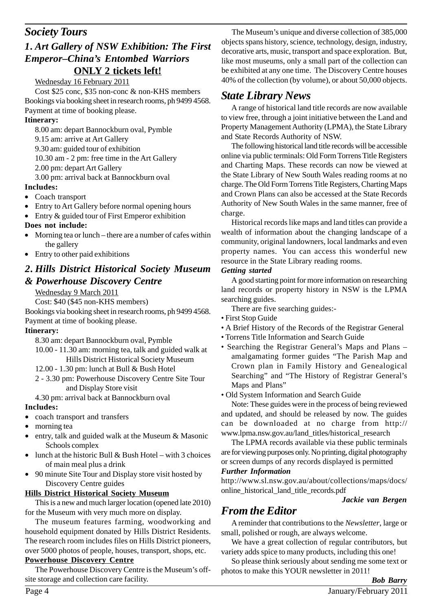### *1. Art Gallery of NSW Exhibition: The First Emperor–China's Entombed Warriors* **ONLY 2 tickets left!**

#### Wednesday 16 February 2011

Cost \$25 conc, \$35 non-conc & non-KHS members Bookings via booking sheet in research rooms, ph 9499 4568. Payment at time of booking please.

#### **Itinerary:**

8.00 am: depart Bannockburn oval, Pymble 9.15 am: arrive at Art Gallery 9.30 am: guided tour of exhibition 10.30 am - 2 pm: free time in the Art Gallery 2.00 pm: depart Art Gallery 3.00 pm: arrival back at Bannockburn oval

#### **Includes:**

- Coach transport
- Entry to Art Gallery before normal opening hours
- Entry & guided tour of First Emperor exhibition

#### **Does not include:**

- Morning tea or lunch there are a number of cafes within the gallery
- Entry to other paid exhibitions

### *2. Hills District Historical Society Museum & Powerhouse Discovery Centre*

#### Wednesday 9 March 2011

Cost: \$40 (\$45 non-KHS members)

Bookings via booking sheet in research rooms, ph 9499 4568. Payment at time of booking please.

#### **Itinerary:**

- 8.30 am: depart Bannockburn oval, Pymble
- 10.00 11.30 am: morning tea, talk and guided walk at Hills District Historical Society Museum
- 12.00 1.30 pm: lunch at Bull & Bush Hotel
- 2 3.30 pm: Powerhouse Discovery Centre Site Tour and Display Store visit

4.30 pm: arrival back at Bannockburn oval **Includes:**

- coach transport and transfers
- morning tea
- entry, talk and guided walk at the Museum & Masonic Schools complex
- lunch at the historic Bull  $& Bush Hotel with 3 choices$ of main meal plus a drink
- 90 minute Site Tour and Display store visit hosted by Discovery Centre guides

#### **Hills District Historical Society Museum**

This is a new and much larger location (opened late 2010) for the Museum with very much more on display.

The museum features farming, woodworking and household equipment donated by Hills District Residents. The research room includes files on Hills District pioneers, over 5000 photos of people, houses, transport, shops, etc.

#### **Powerhouse Discovery Centre**

The Powerhouse Discovery Centre is the Museum's offsite storage and collection care facility.

**Society Tours** The Museum's unique and diverse collection of 385,000 objects spans history, science, technology, design, industry, decorative arts, music, transport and space exploration. But, like most museums, only a small part of the collection can be exhibited at any one time. The Discovery Centre houses 40% of the collection (by volume), or about 50,000 objects.

### *State Library News*

A range of historical land title records are now available to view free, through a joint initiative between the Land and Property Management Authority (LPMA), the State Library and State Records Authority of NSW.

The following historical land title records will be accessible online via public terminals: Old Form Torrens Title Registers and Charting Maps. These records can now be viewed at the State Library of New South Wales reading rooms at no charge. The Old Form Torrens Title Registers, Charting Maps and Crown Plans can also be accessed at the State Records Authority of New South Wales in the same manner, free of charge.

Historical records like maps and land titles can provide a wealth of information about the changing landscape of a community, original landowners, local landmarks and even property names. You can access this wonderful new resource in the State Library reading rooms.

#### *Getting started*

A good starting point for more information on researching land records or property history in NSW is the LPMA searching guides.

There are five searching guides:-

- First Stop Guide
- A Brief History of the Records of the Registrar General
- Torrens Title Information and Search Guide
- Searching the Registrar General's Maps and Plans amalgamating former guides "The Parish Map and Crown plan in Family History and Genealogical Searching" and "The History of Registrar General's Maps and Plans"

• Old System Information and Search Guide

Note: These guides were in the process of being reviewed and updated, and should be released by now. The guides can be downloaded at no charge from http:// www.lpma.nsw.gov.au/land\_titles/historical\_research

The LPMA records available via these public terminals are for viewing purposes only. No printing, digital photography or screen dumps of any records displayed is permitted *Further Information*

http://www.sl.nsw.gov.au/about/collections/maps/docs/ online\_historical\_land\_title\_records.pdf

*Jackie van Bergen*

### *From the Editor*

A reminder that contributions to the *Newsletter*, large or small, polished or rough, are always welcome.

We have a great collection of regular contributors, but variety adds spice to many products, including this one!

So please think seriously about sending me some text or photos to make this YOUR newsletter in 2011!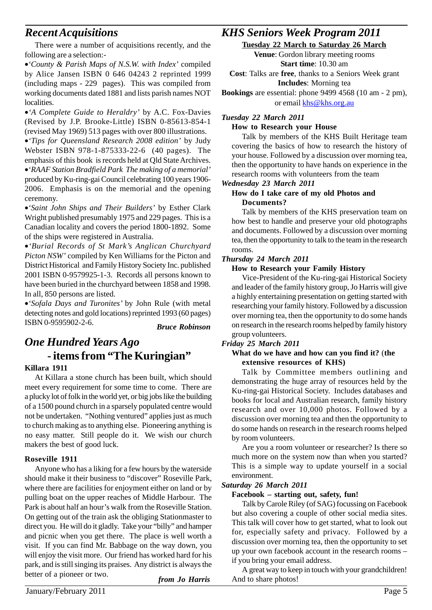### *Recent Acquisitions*

There were a number of acquisitions recently, and the following are a selection:-

•*'County & Parish Maps of N.S.W. with Index'* compiled by Alice Jansen ISBN 0 646 04243 2 reprinted 1999 (including maps - 229 pages). This was compiled from working documents dated 1881 and lists parish names NOT localities.

•*'A Complete Guide to Heraldry'* by A.C. Fox-Davies (Revised by J.P. Brooke-Little) ISBN 0-85613-854-1 (revised May 1969) 513 pages with over 800 illustrations.

•*'Tips for Queensland Research 2008 edition'* by Judy Webster ISBN 978-1-875333-22-6 (40 pages). The emphasis of this book is records held at Qld State Archives.

•*'RAAF Station Bradfield Park The making of a memorial'* produced by Ku-ring-gai Council celebrating 100 years 1906- 2006. Emphasis is on the memorial and the opening ceremony.

•*'Saint John Ships and Their Builders'* by Esther Clark Wright published presumably 1975 and 229 pages. This is a Canadian locality and covers the period 1800-1892. Some of the ships were registered in Australia.

•*'Burial Records of St Mark's Anglican Churchyard Picton NSW'* compiled by Ken Williams for the Picton and District Historical and Family History Society Inc. published 2001 ISBN 0-9579925-1-3. Records all persons known to have been buried in the churchyard between 1858 and 1998. In all, 850 persons are listed.

•*'Sofala Days and Turonites'* by John Rule (with metal detecting notes and gold locations) reprinted 1993 (60 pages) ISBN 0-9595902-2-6. *Bruce Robinson*

### *One Hundred Years Ago*  **- items from "The Kuringian"**

#### **Killara 1911**

At Killara a stone church has been built, which should meet every requirement for some time to come. There are a plucky lot of folk in the world yet, or big jobs like the building of a 1500 pound church in a sparsely populated centre would not be undertaken. "Nothing ventured" applies just as much to church making as to anything else. Pioneering anything is no easy matter. Still people do it. We wish our church makers the best of good luck.

#### **Roseville 1911**

Anyone who has a liking for a few hours by the waterside should make it their business to "discover" Roseville Park, where there are facilities for enjoyment either on land or by pulling boat on the upper reaches of Middle Harbour. The Park is about half an hour's walk from the Roseville Station. On getting out of the train ask the obliging Stationmaster to direct you. He will do it gladly. Take your "billy" and hamper and picnic when you get there. The place is well worth a visit. If you can find Mr. Babbage on the way down, you will enjoy the visit more. Our friend has worked hard for his park, and is still singing its praises. Any district is always the better of a pioneer or two.

*from Jo Harris*

### *KHS Seniors Week Program 2011*

**Tuesday 22 March to Saturday 26 March**

**Venue**: Gordon library meeting rooms **Start time**: 10.30 am

**Cost**: Talks are **free**, thanks to a Seniors Week grant **Includes**: Morning tea

**Bookings** are essential: phone 9499 4568 (10 am - 2 pm), or email khs@khs.org.au

#### *Tuesday 22 March 2011*

#### **How to Research your House**

Talk by members of the KHS Built Heritage team covering the basics of how to research the history of your house. Followed by a discussion over morning tea, then the opportunity to have hands on experience in the research rooms with volunteers from the team

#### *Wednesday 23 March 2011*

#### **How do I take care of my old Photos and Documents?**

Talk by members of the KHS preservation team on how best to handle and preserve your old photographs and documents. Followed by a discussion over morning tea, then the opportunity to talk to the team in the research rooms.

#### *Thursday 24 March 2011*

#### **How to Research your Family History**

Vice-President of the Ku-ring-gai Historical Society and leader of the family history group, Jo Harris will give a highly entertaining presentation on getting started with researching your family history. Followed by a discussion over morning tea, then the opportunity to do some hands on research in the research rooms helped by family history group volunteers.

#### *Friday 25 March 2011*

#### **What do we have and how can you find it?** (**the extensive resources of KHS)**

Talk by Committee members outlining and demonstrating the huge array of resources held by the Ku-ring-gai Historical Society. Includes databases and books for local and Australian research, family history research and over 10,000 photos. Followed by a discussion over morning tea and then the opportunity to do some hands on research in the research rooms helped by room volunteers.

Are you a room volunteer or researcher? Is there so much more on the system now than when you started? This is a simple way to update yourself in a social environment.

#### *Saturday 26 March 2011*

#### **Facebook – starting out, safety, fun!**

Talk by Carole Riley (of SAG) focussing on Facebook but also covering a couple of other social media sites. This talk will cover how to get started, what to look out for, especially safety and privacy. Followed by a discussion over morning tea, then the opportunity to set up your own facebook account in the research rooms – if you bring your email address.

A great way to keep in touch with your grandchildren! And to share photos!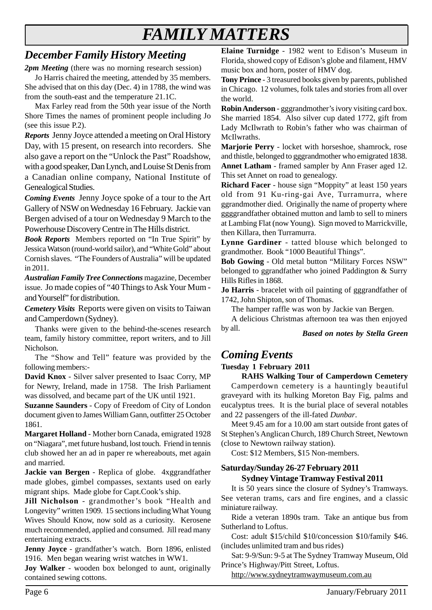# *FAMILY MATTERS*

## *December Family History Meeting*

*2pm Meeting* (there was no morning research session)

Jo Harris chaired the meeting, attended by 35 members. She advised that on this day (Dec. 4) in 1788, the wind was from the south-east and the temperature 21.1C.

Max Farley read from the 50th year issue of the North Shore Times the names of prominent people including Jo (see this issue P.2).

*Reports* Jenny Joyce attended a meeting on Oral History Day, with 15 present, on research into recorders. She also gave a report on the "Unlock the Past" Roadshow, with a good speaker, Dan Lynch, and Louise St Denis from a Canadian online company, National Institute of Genealogical Studies.

*Coming Events* Jenny Joyce spoke of a tour to the Art Gallery of NSW on Wednesday 16 February. Jackie van Bergen advised of a tour on Wednesday 9 March to the Powerhouse Discovery Centre in The Hills district.

*Book Reports* Members reported on "In True Spirit" by Jessica Watson (round-world sailor), and "White Gold" about Cornish slaves. "The Founders of Australia" will be updated in 2011.

*Australian Family Tree Connections* magazine, December issue. Jo made copies of "40 Things to Ask Your Mum and Yourself" for distribution.

*Cemetery Visits* Reports were given on visits to Taiwan and Camperdown (Sydney).

Thanks were given to the behind-the-scenes research team, family history committee, report writers, and to Jill Nicholson.

The "Show and Tell" feature was provided by the following members:-

**David Knox** - Silver salver presented to Isaac Corry, MP for Newry, Ireland, made in 1758. The Irish Parliament was dissolved, and became part of the UK until 1921.

**Suzanne Saunders** - Copy of Freedom of City of London document given to James William Gann, outfitter 25 October 1861.

**Margaret Holland** - Mother born Canada, emigrated 1928 on "Niagara", met future husband, lost touch. Friend in tennis club showed her an ad in paper re whereabouts, met again and married.

**Jackie van Bergen** - Replica of globe. 4xggrandfather made globes, gimbel compasses, sextants used on early migrant ships. Made globe for Capt.Cook's ship.

**Jill Nicholson** - grandmother's book "Health and Longevity" written 1909. 15 sections including What Young Wives Should Know, now sold as a curiosity. Kerosene much recommended, applied and consumed. Jill read many entertaining extracts.

**Jenny Joyce** - grandfather's watch. Born 1896, enlisted 1916. Men began wearing wrist watches in WW1.

**Joy Walker** - wooden box belonged to aunt, originally contained sewing cottons.

**Elaine Turnidge** - 1982 went to Edison's Museum in Florida, showed copy of Edison's globe and filament, HMV music box and horn, poster of HMV dog.

**Tony Prince** - 3 treasured books given by parents, published in Chicago. 12 volumes, folk tales and stories from all over the world.

**Robin Anderson** - gggrandmother's ivory visiting card box. She married 1854. Also silver cup dated 1772, gift from Lady McIlwrath to Robin's father who was chairman of McIlwraths.

**Marjorie Perry** - locket with horseshoe, shamrock, rose and thistle, belonged to gggrandmother who emigrated 1838. **Annet Latham** - framed sampler by Ann Fraser aged 12. This set Annet on road to genealogy.

**Richard Facer** - house sign "Moppity" at least 150 years old from 91 Ku-ring-gai Ave, Turramurra, where ggrandmother died. Originally the name of property where ggggrandfather obtained mutton and lamb to sell to miners at Lambing Flat (now Young). Sign moved to Marrickville, then Killara, then Turramurra.

**Lynne Gardiner** - tatted blouse which belonged to grandmother. Book "1000 Beautiful Things".

**Bob Gowing** - Old metal button "Military Forces NSW" belonged to ggrandfather who joined Paddington & Surry Hills Rifles in 1868.

**Jo Harris** - bracelet with oil painting of gggrandfather of 1742, John Shipton, son of Thomas.

The hamper raffle was won by Jackie van Bergen.

A delicious Christmas afternoon tea was then enjoyed by all.

*Based on notes by Stella Green*

### *Coming Events*

#### **Tuesday 1 February 2011**

**RAHS Walking Tour of Camperdown Cemetery** Camperdown cemetery is a hauntingly beautiful graveyard with its hulking Moreton Bay Fig, palms and eucalyptus trees. It is the burial place of several notables and 22 passengers of the ill-fated *Dunbar*.

Meet 9.45 am for a 10.00 am start outside front gates of St Stephen's Anglican Church, 189 Church Street, Newtown (close to Newtown railway station).

Cost: \$12 Members, \$15 Non-members.

#### **Saturday/Sunday 26-27 February 2011 Sydney Vintage Tramway Festival 2011**

It is 50 years since the closure of Sydney's Tramways. See veteran trams, cars and fire engines, and a classic miniature railway.

Ride a veteran 1890s tram. Take an antique bus from Sutherland to Loftus.

Cost: adult \$15/child \$10/concession \$10/family \$46. (includes unlimited tram and bus rides)

Sat: 9-9/Sun: 9-5 at The Sydney Tramway Museum, Old Prince's Highway/Pitt Street, Loftus.

http://www.sydneytramwaymuseum.com.au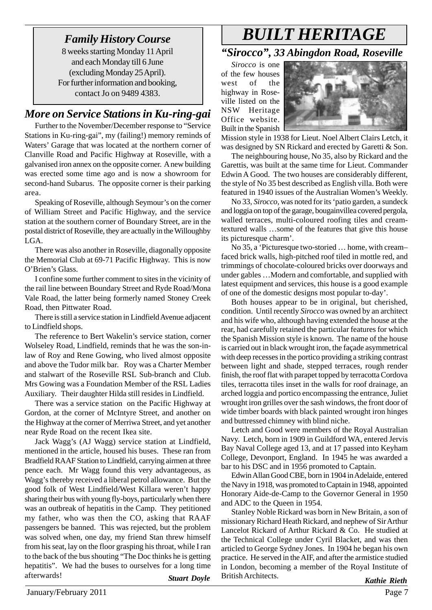8 weeks starting Monday 11 April and each Monday till 6 June (excluding Monday 25 April). For further information and booking, contact Jo on 9489 4383.

### *More on Service Stations in Ku-ring-gai*

Further to the November/December response to "Service Stations in Ku-ring-gai", my (failing!) memory reminds of Waters' Garage that was located at the northern corner of Clanville Road and Pacific Highway at Roseville, with a galvanised iron annex on the opposite corner. A new building was erected some time ago and is now a showroom for second-hand Subarus. The opposite corner is their parking area.

Speaking of Roseville, although Seymour's on the corner of William Street and Pacific Highway, and the service station at the southern corner of Boundary Street, are in the postal district of Roseville, they are actually in the Willoughby LGA.

There was also another in Roseville, diagonally opposite the Memorial Club at 69-71 Pacific Highway. This is now O'Brien's Glass.

I confine some further comment to sites in the vicinity of the rail line between Boundary Street and Ryde Road/Mona Vale Road, the latter being formerly named Stoney Creek Road, then Pittwater Road.

There is still a service station in Lindfield Avenue adjacent to Lindfield shops.

The reference to Bert Wakelin's service station, corner Wolseley Road, Lindfield, reminds that he was the son-inlaw of Roy and Rene Gowing, who lived almost opposite and above the Tudor milk bar. Roy was a Charter Member and stalwart of the Roseville RSL Sub-branch and Club. Mrs Gowing was a Foundation Member of the RSL Ladies Auxiliary. Their daughter Hilda still resides in Lindfield.

There was a service station on the Pacific Highway at Gordon, at the corner of McIntyre Street, and another on the Highway at the corner of Merriwa Street, and yet another near Ryde Road on the recent Ikea site.

Jack Wagg's (AJ Wagg) service station at Lindfield, mentioned in the article, housed his buses. These ran from Bradfield RAAF Station to Lindfield, carrying airmen at three pence each. Mr Wagg found this very advantageous, as Wagg's thereby received a liberal petrol allowance. But the good folk of West Lindfield/West Killara weren't happy sharing their bus with young fly-boys, particularly when there was an outbreak of hepatitis in the Camp. They petitioned my father, who was then the CO, asking that RAAF passengers be banned. This was rejected, but the problem was solved when, one day, my friend Stan threw himself from his seat, lay on the floor grasping his throat, while I ran to the back of the bus shouting "The Doc thinks he is getting hepatitis". We had the buses to ourselves for a long time afterwards! *Stuart Doyle*

# *Family History Course BUILT HERITAGE "Sirocco", 33 Abingdon Road, Roseville*

*Sirocco* is one of the few houses west of the highway in Roseville listed on the NSW Heritage Office website. Built in the Spanish



Mission style in 1938 for Lieut. Noel Albert Clairs Letch, it was designed by SN Rickard and erected by Garetti & Son.

The neighbouring house, No 35, also by Rickard and the Garettis, was built at the same time for Lieut. Commander Edwin A Good. The two houses are considerably different, the style of No 35 best described as English villa. Both were featured in 1940 issues of the Australian Women's Weekly.

No 33, *Sirocco,* was noted for its 'patio garden, a sundeck and loggia on top of the garage, bougainvillea covered pergola, walled terraces, multi-coloured roofing tiles and creamtextured walls …some of the features that give this house its picturesque charm'.

No 35, a 'Picturesque two-storied … home, with cream– faced brick walls, high-pitched roof tiled in mottle red, and trimmings of chocolate-coloured bricks over doorways and under gables …Modern and comfortable, and supplied with latest equipment and services, this house is a good example of one of the domestic designs most popular to-day'.

Both houses appear to be in original, but cherished, condition. Until recently *Sirocco* was owned by an architect and his wife who, although having extended the house at the rear, had carefully retained the particular features for which the Spanish Mission style is known. The name of the house is carried out in black wrought iron, the façade asymmetrical with deep recesses in the portico providing a striking contrast between light and shade, stepped terraces, rough render finish, the roof flat with parapet topped by terracotta Cordova tiles, terracotta tiles inset in the walls for roof drainage, an arched loggia and portico encompassing the entrance, Juliet wrought iron grilles over the sash windows, the front door of wide timber boards with black painted wrought iron hinges and buttressed chimney with blind niche.

Letch and Good were members of the Royal Australian Navy. Letch, born in 1909 in Guildford WA, entered Jervis Bay Naval College aged 13, and at 17 passed into Keyham College, Devonport, England. In 1945 he was awarded a bar to his DSC and in 1956 promoted to Captain.

Edwin Allan Good CBE, born in 1904 in Adelaide, entered the Navy in 1918, was promoted to Captain in 1948, appointed Honorary Aide-de-Camp to the Governor General in 1950 and ADC to the Queen in 1954.

Stanley Noble Rickard was born in New Britain, a son of missionary Richard Heath Rickard, and nephew of Sir Arthur Lancelot Rickard of Arthur Rickard & Co. He studied at the Technical College under Cyril Blacket, and was then articled to George Sydney Jones. In 1904 he began his own practice. He served in the AIF, and after the armistice studied in London, becoming a member of the Royal Institute of British Architects.